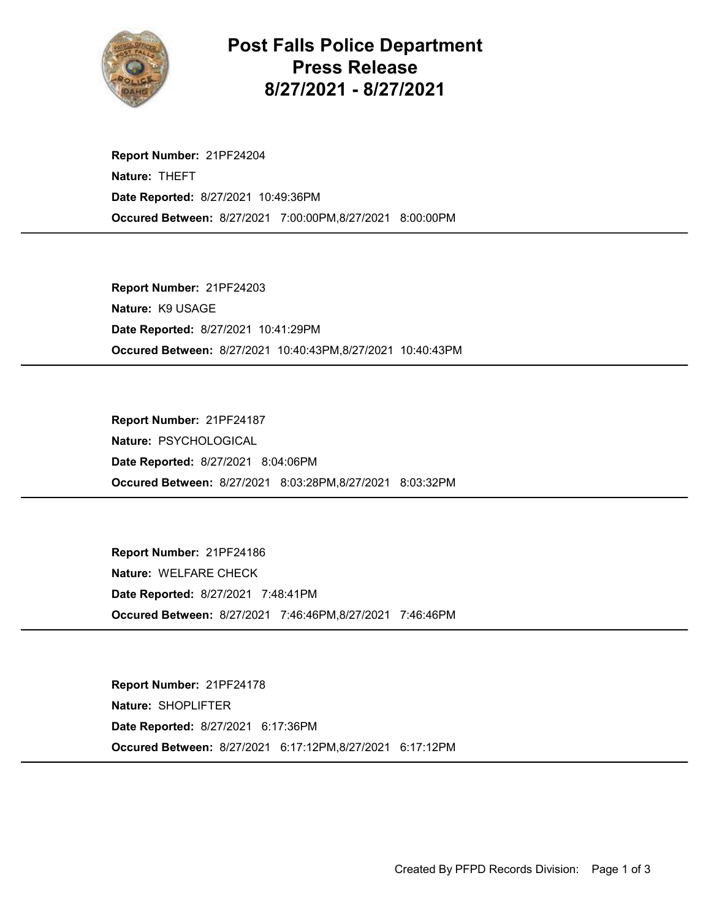

## Post Falls Police Department Press Release 8/27/2021 - 8/27/2021

Occured Between: 8/27/2021 7:00:00PM,8/27/2021 8:00:00PM Report Number: 21PF24204 Nature: THEFT Date Reported: 8/27/2021 10:49:36PM

Occured Between: 8/27/2021 10:40:43PM,8/27/2021 10:40:43PM Report Number: 21PF24203 Nature: K9 USAGE Date Reported: 8/27/2021 10:41:29PM

Occured Between: 8/27/2021 8:03:28PM,8/27/2021 8:03:32PM Report Number: 21PF24187 Nature: PSYCHOLOGICAL Date Reported: 8/27/2021 8:04:06PM

Occured Between: 8/27/2021 7:46:46PM,8/27/2021 7:46:46PM Report Number: 21PF24186 Nature: WELFARE CHECK Date Reported: 8/27/2021 7:48:41PM

Occured Between: 8/27/2021 6:17:12PM,8/27/2021 6:17:12PM Report Number: 21PF24178 Nature: SHOPLIFTER Date Reported: 8/27/2021 6:17:36PM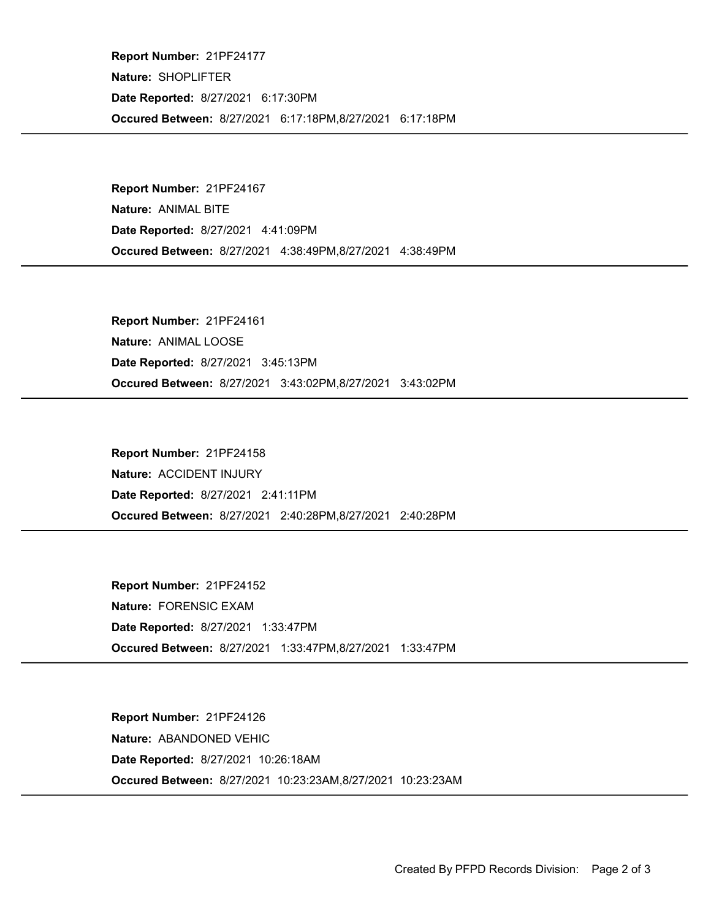Occured Between: 8/27/2021 6:17:18PM,8/27/2021 6:17:18PM Report Number: 21PF24177 Nature: SHOPLIFTER Date Reported: 8/27/2021 6:17:30PM

Occured Between: 8/27/2021 4:38:49PM,8/27/2021 4:38:49PM Report Number: 21PF24167 Nature: ANIMAL BITE Date Reported: 8/27/2021 4:41:09PM

Occured Between: 8/27/2021 3:43:02PM,8/27/2021 3:43:02PM Report Number: 21PF24161 Nature: ANIMAL LOOSE Date Reported: 8/27/2021 3:45:13PM

Occured Between: 8/27/2021 2:40:28PM,8/27/2021 2:40:28PM Report Number: 21PF24158 Nature: ACCIDENT INJURY Date Reported: 8/27/2021 2:41:11PM

Occured Between: 8/27/2021 1:33:47PM,8/27/2021 1:33:47PM Report Number: 21PF24152 Nature: FORENSIC EXAM Date Reported: 8/27/2021 1:33:47PM

Occured Between: 8/27/2021 10:23:23AM,8/27/2021 10:23:23AM Report Number: 21PF24126 Nature: ABANDONED VEHIC Date Reported: 8/27/2021 10:26:18AM